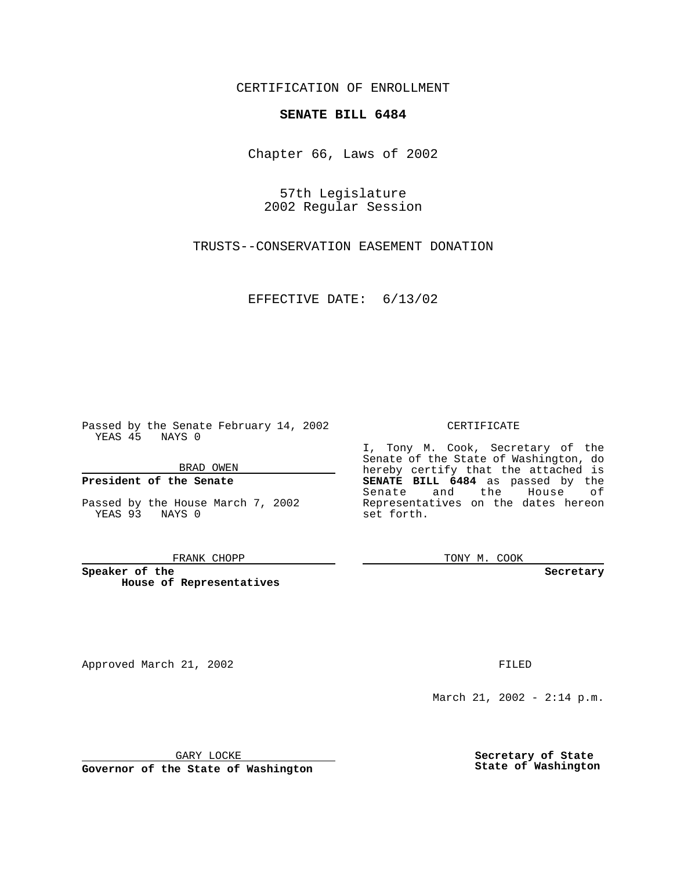CERTIFICATION OF ENROLLMENT

## **SENATE BILL 6484**

Chapter 66, Laws of 2002

57th Legislature 2002 Regular Session

TRUSTS--CONSERVATION EASEMENT DONATION

EFFECTIVE DATE: 6/13/02

Passed by the Senate February 14, 2002 YEAS 45 NAYS 0

BRAD OWEN

### **President of the Senate**

Passed by the House March 7, 2002 YEAS 93 NAYS 0

#### FRANK CHOPP

**Speaker of the House of Representatives**

Approved March 21, 2002 **FILED** 

### CERTIFICATE

I, Tony M. Cook, Secretary of the Senate of the State of Washington, do hereby certify that the attached is **SENATE BILL 6484** as passed by the Senate and the House of Representatives on the dates hereon set forth.

TONY M. COOK

**Secretary**

March 21, 2002 - 2:14 p.m.

GARY LOCKE

**Governor of the State of Washington**

**Secretary of State State of Washington**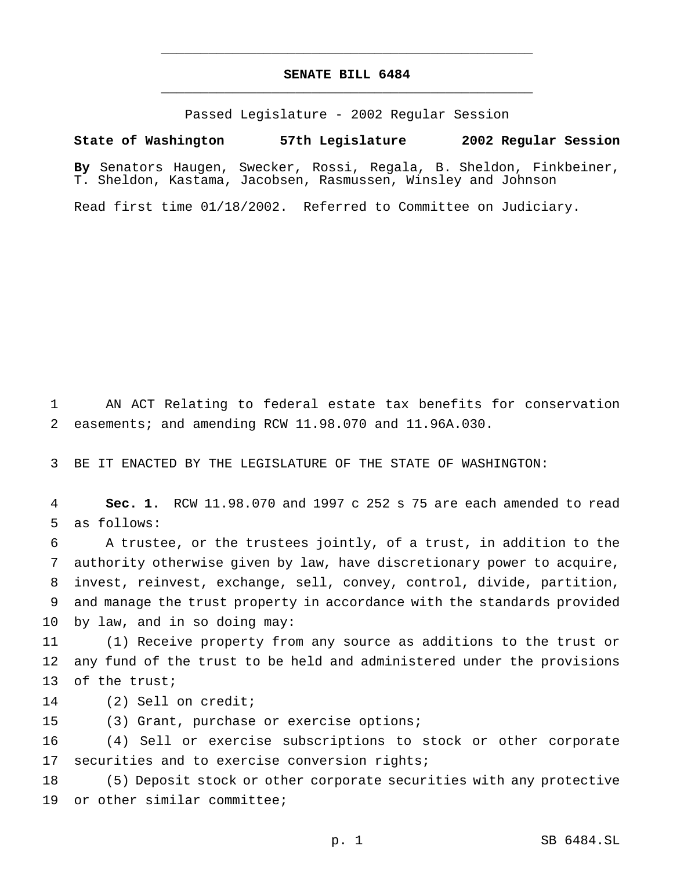# **SENATE BILL 6484** \_\_\_\_\_\_\_\_\_\_\_\_\_\_\_\_\_\_\_\_\_\_\_\_\_\_\_\_\_\_\_\_\_\_\_\_\_\_\_\_\_\_\_\_\_\_\_

\_\_\_\_\_\_\_\_\_\_\_\_\_\_\_\_\_\_\_\_\_\_\_\_\_\_\_\_\_\_\_\_\_\_\_\_\_\_\_\_\_\_\_\_\_\_\_

Passed Legislature - 2002 Regular Session

**State of Washington 57th Legislature 2002 Regular Session**

**By** Senators Haugen, Swecker, Rossi, Regala, B. Sheldon, Finkbeiner, T. Sheldon, Kastama, Jacobsen, Rasmussen, Winsley and Johnson

Read first time 01/18/2002. Referred to Committee on Judiciary.

 AN ACT Relating to federal estate tax benefits for conservation easements; and amending RCW 11.98.070 and 11.96A.030.

BE IT ENACTED BY THE LEGISLATURE OF THE STATE OF WASHINGTON:

 **Sec. 1.** RCW 11.98.070 and 1997 c 252 s 75 are each amended to read as follows:

 A trustee, or the trustees jointly, of a trust, in addition to the authority otherwise given by law, have discretionary power to acquire, invest, reinvest, exchange, sell, convey, control, divide, partition, and manage the trust property in accordance with the standards provided by law, and in so doing may:

 (1) Receive property from any source as additions to the trust or any fund of the trust to be held and administered under the provisions of the trust;

(2) Sell on credit;

(3) Grant, purchase or exercise options;

 (4) Sell or exercise subscriptions to stock or other corporate 17 securities and to exercise conversion rights;

 (5) Deposit stock or other corporate securities with any protective or other similar committee;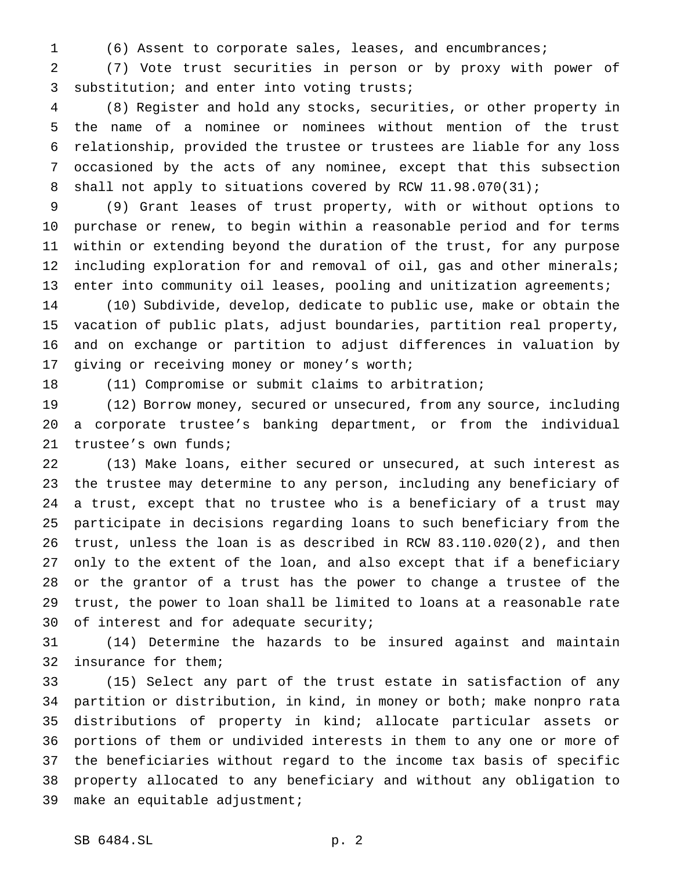(6) Assent to corporate sales, leases, and encumbrances;

 (7) Vote trust securities in person or by proxy with power of substitution; and enter into voting trusts;

 (8) Register and hold any stocks, securities, or other property in the name of a nominee or nominees without mention of the trust relationship, provided the trustee or trustees are liable for any loss occasioned by the acts of any nominee, except that this subsection 8 shall not apply to situations covered by RCW 11.98.070(31);

 (9) Grant leases of trust property, with or without options to purchase or renew, to begin within a reasonable period and for terms within or extending beyond the duration of the trust, for any purpose including exploration for and removal of oil, gas and other minerals; 13 enter into community oil leases, pooling and unitization agreements;

 (10) Subdivide, develop, dedicate to public use, make or obtain the vacation of public plats, adjust boundaries, partition real property, and on exchange or partition to adjust differences in valuation by giving or receiving money or money's worth;

(11) Compromise or submit claims to arbitration;

 (12) Borrow money, secured or unsecured, from any source, including a corporate trustee's banking department, or from the individual trustee's own funds;

 (13) Make loans, either secured or unsecured, at such interest as the trustee may determine to any person, including any beneficiary of a trust, except that no trustee who is a beneficiary of a trust may participate in decisions regarding loans to such beneficiary from the trust, unless the loan is as described in RCW 83.110.020(2), and then only to the extent of the loan, and also except that if a beneficiary or the grantor of a trust has the power to change a trustee of the trust, the power to loan shall be limited to loans at a reasonable rate 30 of interest and for adequate security;

 (14) Determine the hazards to be insured against and maintain insurance for them;

 (15) Select any part of the trust estate in satisfaction of any partition or distribution, in kind, in money or both; make nonpro rata distributions of property in kind; allocate particular assets or portions of them or undivided interests in them to any one or more of the beneficiaries without regard to the income tax basis of specific property allocated to any beneficiary and without any obligation to make an equitable adjustment;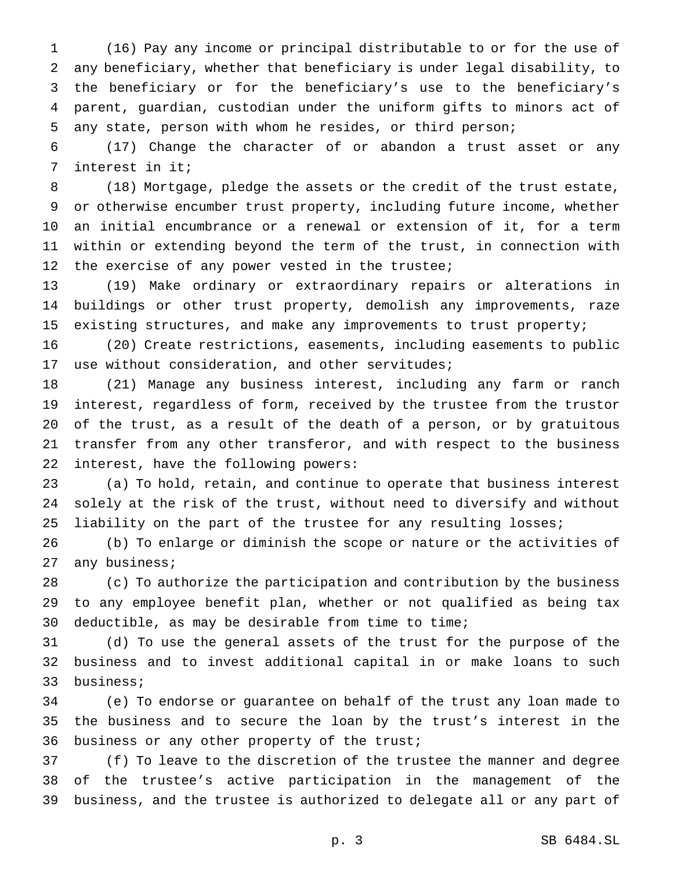(16) Pay any income or principal distributable to or for the use of any beneficiary, whether that beneficiary is under legal disability, to the beneficiary or for the beneficiary's use to the beneficiary's parent, guardian, custodian under the uniform gifts to minors act of any state, person with whom he resides, or third person;

 (17) Change the character of or abandon a trust asset or any interest in it;

 (18) Mortgage, pledge the assets or the credit of the trust estate, or otherwise encumber trust property, including future income, whether an initial encumbrance or a renewal or extension of it, for a term within or extending beyond the term of the trust, in connection with 12 the exercise of any power vested in the trustee;

 (19) Make ordinary or extraordinary repairs or alterations in buildings or other trust property, demolish any improvements, raze existing structures, and make any improvements to trust property;

 (20) Create restrictions, easements, including easements to public use without consideration, and other servitudes;

 (21) Manage any business interest, including any farm or ranch interest, regardless of form, received by the trustee from the trustor of the trust, as a result of the death of a person, or by gratuitous transfer from any other transferor, and with respect to the business interest, have the following powers:

 (a) To hold, retain, and continue to operate that business interest solely at the risk of the trust, without need to diversify and without liability on the part of the trustee for any resulting losses;

 (b) To enlarge or diminish the scope or nature or the activities of any business;

 (c) To authorize the participation and contribution by the business to any employee benefit plan, whether or not qualified as being tax deductible, as may be desirable from time to time;

 (d) To use the general assets of the trust for the purpose of the business and to invest additional capital in or make loans to such business;

 (e) To endorse or guarantee on behalf of the trust any loan made to the business and to secure the loan by the trust's interest in the business or any other property of the trust;

 (f) To leave to the discretion of the trustee the manner and degree of the trustee's active participation in the management of the business, and the trustee is authorized to delegate all or any part of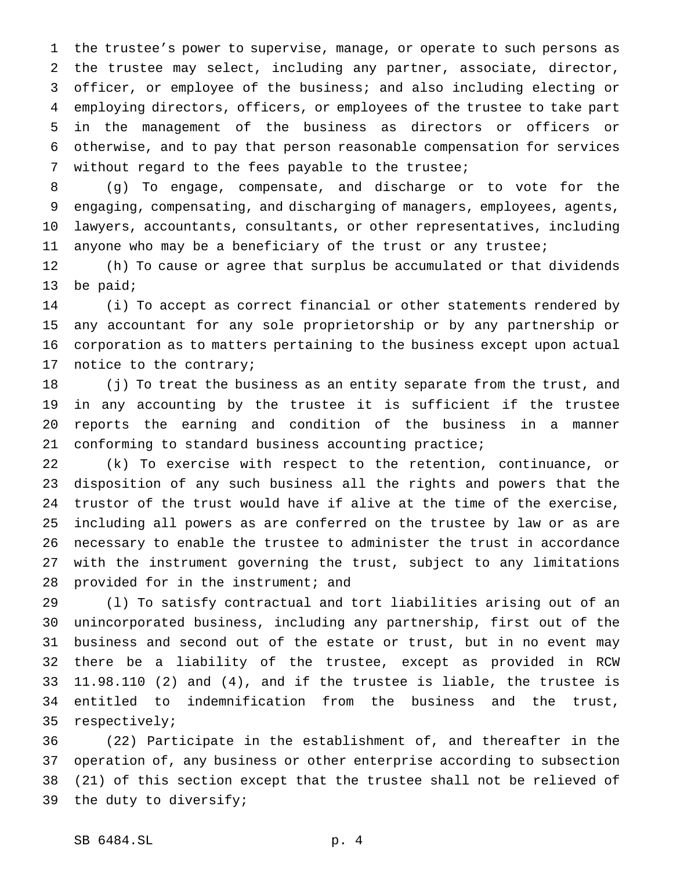the trustee's power to supervise, manage, or operate to such persons as the trustee may select, including any partner, associate, director, officer, or employee of the business; and also including electing or employing directors, officers, or employees of the trustee to take part in the management of the business as directors or officers or otherwise, and to pay that person reasonable compensation for services without regard to the fees payable to the trustee;

 (g) To engage, compensate, and discharge or to vote for the engaging, compensating, and discharging of managers, employees, agents, lawyers, accountants, consultants, or other representatives, including anyone who may be a beneficiary of the trust or any trustee;

 (h) To cause or agree that surplus be accumulated or that dividends be paid;

 (i) To accept as correct financial or other statements rendered by any accountant for any sole proprietorship or by any partnership or corporation as to matters pertaining to the business except upon actual notice to the contrary;

 (j) To treat the business as an entity separate from the trust, and in any accounting by the trustee it is sufficient if the trustee reports the earning and condition of the business in a manner conforming to standard business accounting practice;

 (k) To exercise with respect to the retention, continuance, or disposition of any such business all the rights and powers that the trustor of the trust would have if alive at the time of the exercise, including all powers as are conferred on the trustee by law or as are necessary to enable the trustee to administer the trust in accordance with the instrument governing the trust, subject to any limitations provided for in the instrument; and

 (l) To satisfy contractual and tort liabilities arising out of an unincorporated business, including any partnership, first out of the business and second out of the estate or trust, but in no event may there be a liability of the trustee, except as provided in RCW 11.98.110 (2) and (4), and if the trustee is liable, the trustee is entitled to indemnification from the business and the trust, respectively;

 (22) Participate in the establishment of, and thereafter in the operation of, any business or other enterprise according to subsection (21) of this section except that the trustee shall not be relieved of the duty to diversify;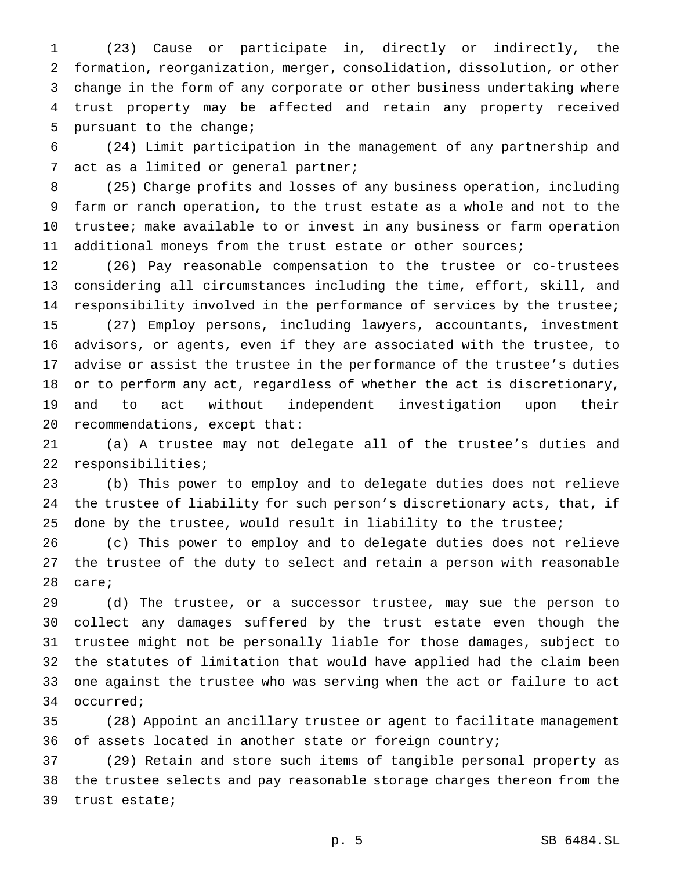(23) Cause or participate in, directly or indirectly, the formation, reorganization, merger, consolidation, dissolution, or other change in the form of any corporate or other business undertaking where trust property may be affected and retain any property received pursuant to the change;

 (24) Limit participation in the management of any partnership and act as a limited or general partner;

 (25) Charge profits and losses of any business operation, including farm or ranch operation, to the trust estate as a whole and not to the trustee; make available to or invest in any business or farm operation additional moneys from the trust estate or other sources;

 (26) Pay reasonable compensation to the trustee or co-trustees considering all circumstances including the time, effort, skill, and responsibility involved in the performance of services by the trustee; (27) Employ persons, including lawyers, accountants, investment advisors, or agents, even if they are associated with the trustee, to advise or assist the trustee in the performance of the trustee's duties or to perform any act, regardless of whether the act is discretionary, and to act without independent investigation upon their recommendations, except that:

 (a) A trustee may not delegate all of the trustee's duties and responsibilities;

 (b) This power to employ and to delegate duties does not relieve the trustee of liability for such person's discretionary acts, that, if done by the trustee, would result in liability to the trustee;

 (c) This power to employ and to delegate duties does not relieve the trustee of the duty to select and retain a person with reasonable care;

 (d) The trustee, or a successor trustee, may sue the person to collect any damages suffered by the trust estate even though the trustee might not be personally liable for those damages, subject to the statutes of limitation that would have applied had the claim been one against the trustee who was serving when the act or failure to act occurred;

 (28) Appoint an ancillary trustee or agent to facilitate management of assets located in another state or foreign country;

 (29) Retain and store such items of tangible personal property as the trustee selects and pay reasonable storage charges thereon from the trust estate;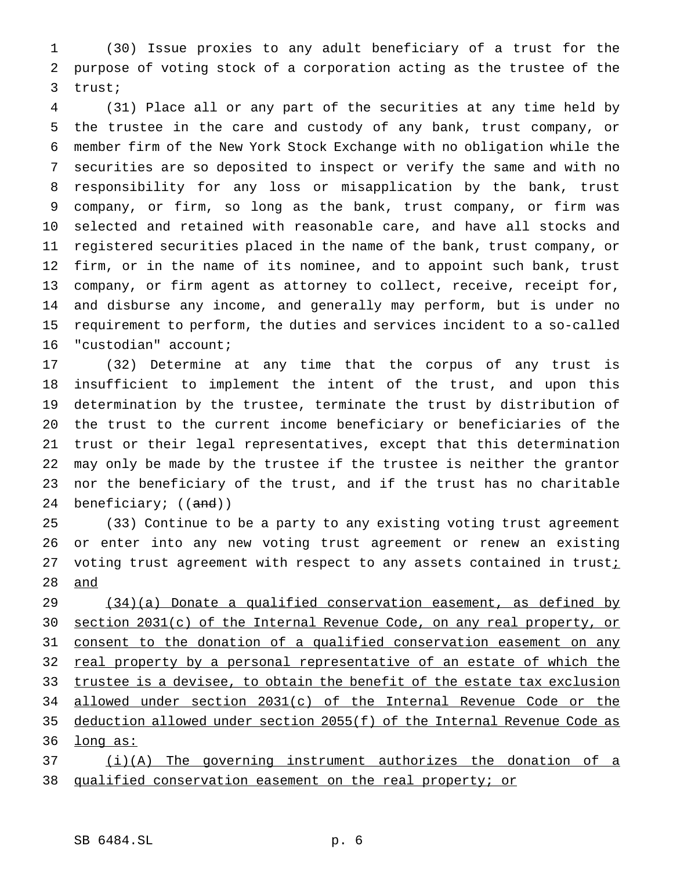(30) Issue proxies to any adult beneficiary of a trust for the purpose of voting stock of a corporation acting as the trustee of the trust;

 (31) Place all or any part of the securities at any time held by the trustee in the care and custody of any bank, trust company, or member firm of the New York Stock Exchange with no obligation while the securities are so deposited to inspect or verify the same and with no responsibility for any loss or misapplication by the bank, trust company, or firm, so long as the bank, trust company, or firm was selected and retained with reasonable care, and have all stocks and registered securities placed in the name of the bank, trust company, or firm, or in the name of its nominee, and to appoint such bank, trust company, or firm agent as attorney to collect, receive, receipt for, and disburse any income, and generally may perform, but is under no requirement to perform, the duties and services incident to a so-called "custodian" account;

 (32) Determine at any time that the corpus of any trust is insufficient to implement the intent of the trust, and upon this determination by the trustee, terminate the trust by distribution of the trust to the current income beneficiary or beneficiaries of the trust or their legal representatives, except that this determination may only be made by the trustee if the trustee is neither the grantor nor the beneficiary of the trust, and if the trust has no charitable 24 beneficiary; ((and))

 (33) Continue to be a party to any existing voting trust agreement or enter into any new voting trust agreement or renew an existing 27 voting trust agreement with respect to any assets contained in trust $i$ and

29 (34)(a) Donate a qualified conservation easement, as defined by section 2031(c) of the Internal Revenue Code, on any real property, or 31 consent to the donation of a qualified conservation easement on any 32 real property by a personal representative of an estate of which the 33 trustee is a devisee, to obtain the benefit of the estate tax exclusion allowed under section 2031(c) of the Internal Revenue Code or the deduction allowed under section 2055(f) of the Internal Revenue Code as 36 <u>long as:</u> (i)(A) The governing instrument authorizes the donation of a

qualified conservation easement on the real property; or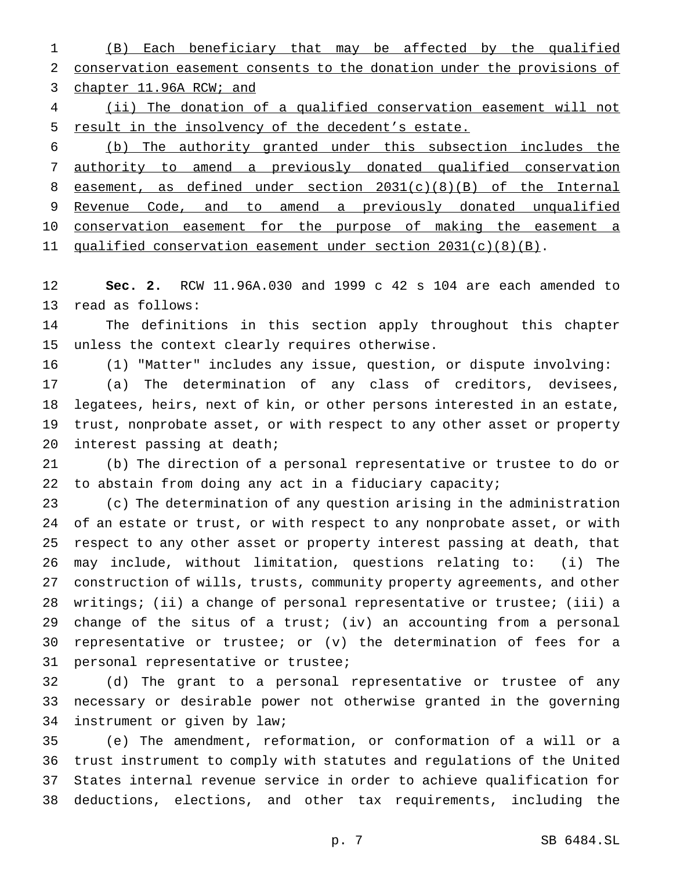(B) Each beneficiary that may be affected by the qualified conservation easement consents to the donation under the provisions of 3 chapter 11.96A RCW; and

 (ii) The donation of a qualified conservation easement will not result in the insolvency of the decedent's estate.

 (b) The authority granted under this subsection includes the authority to amend a previously donated qualified conservation easement, as defined under section 2031(c)(8)(B) of the Internal 9 Revenue Code, and to amend a previously donated unqualified 10 conservation easement for the purpose of making the easement a 11 qualified conservation easement under section 2031(c)(8)(B).

 **Sec. 2.** RCW 11.96A.030 and 1999 c 42 s 104 are each amended to read as follows:

 The definitions in this section apply throughout this chapter unless the context clearly requires otherwise.

(1) "Matter" includes any issue, question, or dispute involving:

 (a) The determination of any class of creditors, devisees, legatees, heirs, next of kin, or other persons interested in an estate, trust, nonprobate asset, or with respect to any other asset or property interest passing at death;

 (b) The direction of a personal representative or trustee to do or to abstain from doing any act in a fiduciary capacity;

 (c) The determination of any question arising in the administration of an estate or trust, or with respect to any nonprobate asset, or with respect to any other asset or property interest passing at death, that may include, without limitation, questions relating to: (i) The construction of wills, trusts, community property agreements, and other writings; (ii) a change of personal representative or trustee; (iii) a change of the situs of a trust; (iv) an accounting from a personal representative or trustee; or (v) the determination of fees for a personal representative or trustee;

 (d) The grant to a personal representative or trustee of any necessary or desirable power not otherwise granted in the governing instrument or given by law;

 (e) The amendment, reformation, or conformation of a will or a trust instrument to comply with statutes and regulations of the United States internal revenue service in order to achieve qualification for deductions, elections, and other tax requirements, including the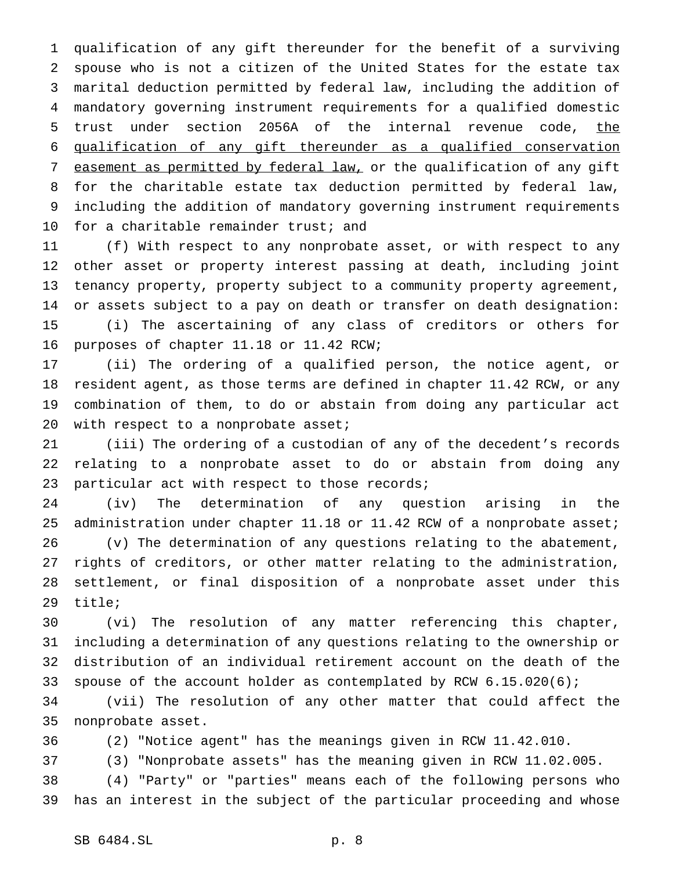qualification of any gift thereunder for the benefit of a surviving spouse who is not a citizen of the United States for the estate tax marital deduction permitted by federal law, including the addition of mandatory governing instrument requirements for a qualified domestic 5 trust under section 2056A of the internal revenue code, the qualification of any gift thereunder as a qualified conservation 7 easement as permitted by federal law, or the qualification of any gift for the charitable estate tax deduction permitted by federal law, including the addition of mandatory governing instrument requirements for a charitable remainder trust; and

 (f) With respect to any nonprobate asset, or with respect to any other asset or property interest passing at death, including joint tenancy property, property subject to a community property agreement, or assets subject to a pay on death or transfer on death designation: (i) The ascertaining of any class of creditors or others for purposes of chapter 11.18 or 11.42 RCW;

 (ii) The ordering of a qualified person, the notice agent, or resident agent, as those terms are defined in chapter 11.42 RCW, or any combination of them, to do or abstain from doing any particular act 20 with respect to a nonprobate asset;

 (iii) The ordering of a custodian of any of the decedent's records relating to a nonprobate asset to do or abstain from doing any particular act with respect to those records;

 (iv) The determination of any question arising in the 25 administration under chapter 11.18 or 11.42 RCW of a nonprobate asset; (v) The determination of any questions relating to the abatement, rights of creditors, or other matter relating to the administration, settlement, or final disposition of a nonprobate asset under this title;

 (vi) The resolution of any matter referencing this chapter, including a determination of any questions relating to the ownership or distribution of an individual retirement account on the death of the spouse of the account holder as contemplated by RCW 6.15.020(6);

 (vii) The resolution of any other matter that could affect the nonprobate asset.

(2) "Notice agent" has the meanings given in RCW 11.42.010.

(3) "Nonprobate assets" has the meaning given in RCW 11.02.005.

 (4) "Party" or "parties" means each of the following persons who has an interest in the subject of the particular proceeding and whose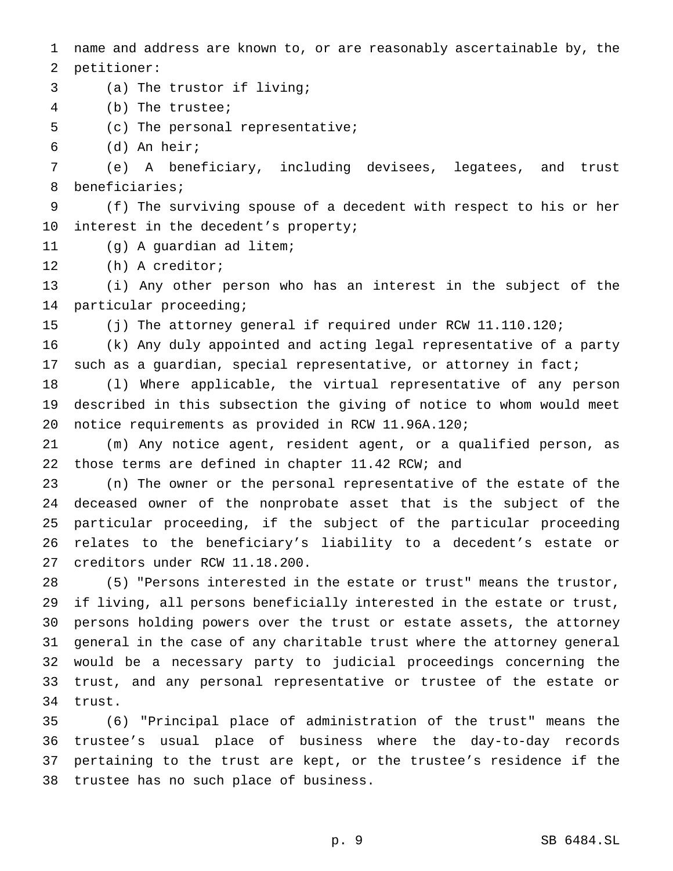name and address are known to, or are reasonably ascertainable by, the petitioner:

(a) The trustor if living;

(b) The trustee;

(c) The personal representative;

(d) An heir;

 (e) A beneficiary, including devisees, legatees, and trust beneficiaries;

 (f) The surviving spouse of a decedent with respect to his or her interest in the decedent's property;

(g) A guardian ad litem;

(h) A creditor;

 (i) Any other person who has an interest in the subject of the particular proceeding;

(j) The attorney general if required under RCW 11.110.120;

 (k) Any duly appointed and acting legal representative of a party 17 such as a guardian, special representative, or attorney in fact;

 (l) Where applicable, the virtual representative of any person described in this subsection the giving of notice to whom would meet notice requirements as provided in RCW 11.96A.120;

 (m) Any notice agent, resident agent, or a qualified person, as those terms are defined in chapter 11.42 RCW; and

 (n) The owner or the personal representative of the estate of the deceased owner of the nonprobate asset that is the subject of the particular proceeding, if the subject of the particular proceeding relates to the beneficiary's liability to a decedent's estate or creditors under RCW 11.18.200.

 (5) "Persons interested in the estate or trust" means the trustor, if living, all persons beneficially interested in the estate or trust, persons holding powers over the trust or estate assets, the attorney general in the case of any charitable trust where the attorney general would be a necessary party to judicial proceedings concerning the trust, and any personal representative or trustee of the estate or trust.

 (6) "Principal place of administration of the trust" means the trustee's usual place of business where the day-to-day records pertaining to the trust are kept, or the trustee's residence if the trustee has no such place of business.